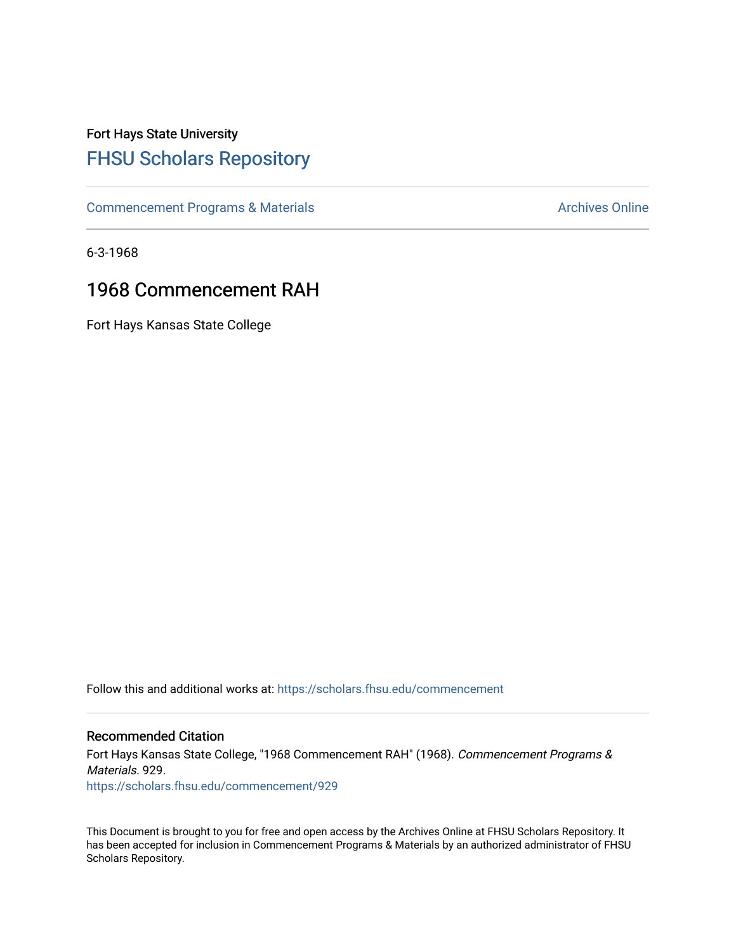# Fort Hays State University [FHSU Scholars Repository](https://scholars.fhsu.edu/)

[Commencement Programs & Materials](https://scholars.fhsu.edu/commencement) **Archives Online** Archives Online

6-3-1968

## 1968 Commencement RAH

Fort Hays Kansas State College

Follow this and additional works at: [https://scholars.fhsu.edu/commencement](https://scholars.fhsu.edu/commencement?utm_source=scholars.fhsu.edu%2Fcommencement%2F929&utm_medium=PDF&utm_campaign=PDFCoverPages)

## Recommended Citation

Fort Hays Kansas State College, "1968 Commencement RAH" (1968). Commencement Programs & Materials. 929. [https://scholars.fhsu.edu/commencement/929](https://scholars.fhsu.edu/commencement/929?utm_source=scholars.fhsu.edu%2Fcommencement%2F929&utm_medium=PDF&utm_campaign=PDFCoverPages)

This Document is brought to you for free and open access by the Archives Online at FHSU Scholars Repository. It has been accepted for inclusion in Commencement Programs & Materials by an authorized administrator of FHSU Scholars Repository.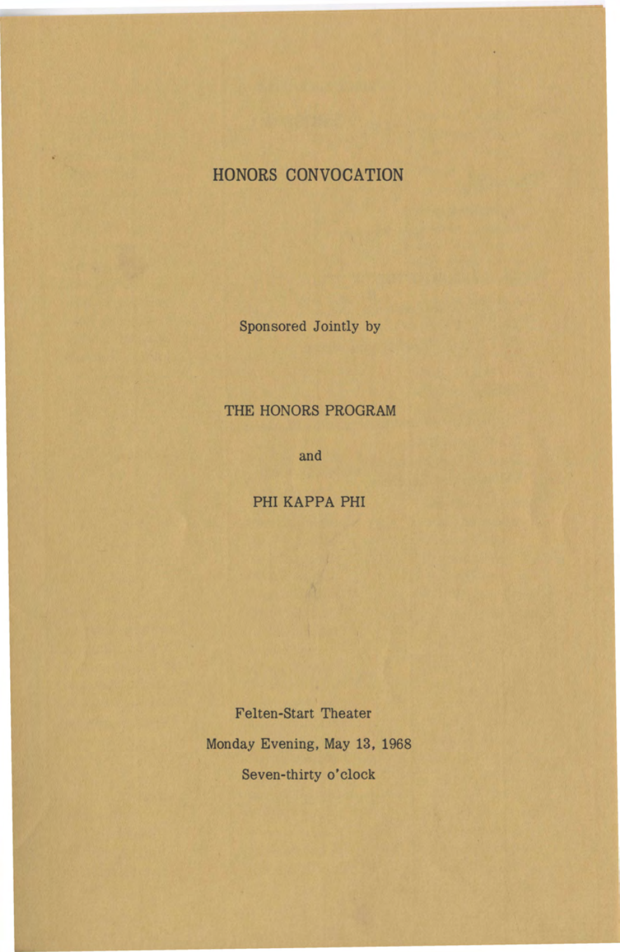## **HONORS CONVOCATION**

Sponsored Jointly by

## THE HONORS PROGRAM

and

PHI KAPPA PHI

Felten-Start Theater Monday Evening, May 13, 1968 Seven-thirty o'clock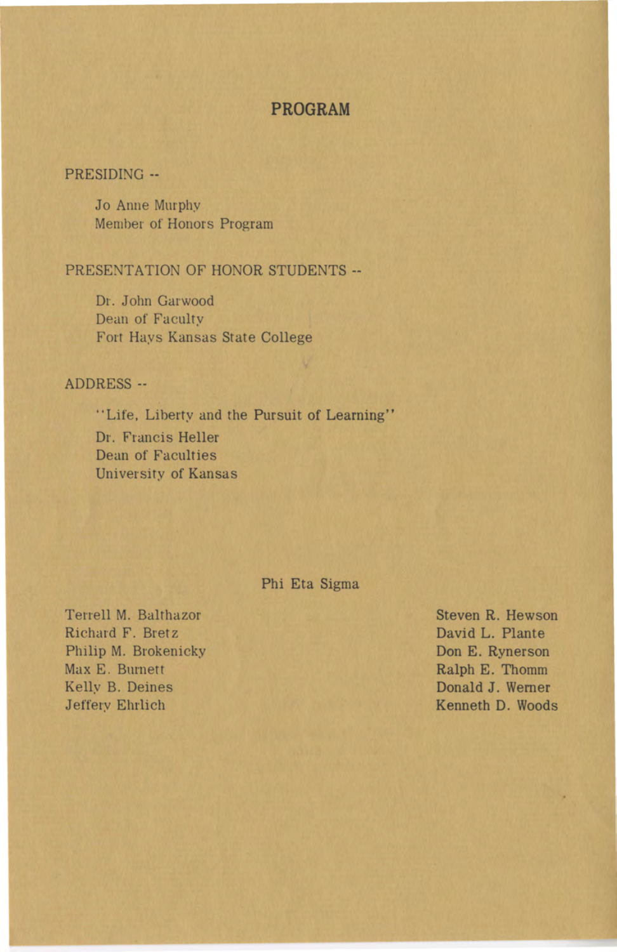### **PROGRAM**

#### PRESIDING --

Jo Anne Murphy Member of Honors Program

#### PRESENTATION OF HONOR STUDENTS --

Dr. John Garwood Dean of Faculty Fort Hays Kansas State College

#### ADDRESS --

"Life, Liberty and the Pursuit of Learning" Dr. Francis Heller Dean of Faculties University of Kansas

### Phi Eta Sigma

Tenell M. Balthazor Richard F. Bretz Philip M. Brokenicky Max E. Burnett Kelly B. Deines Jeffery Ehrlich

Steven R. Hewson David L. Plante Don E. Rynerson Ralph E. Thomm Donald J. Werner Kenneth D. Woods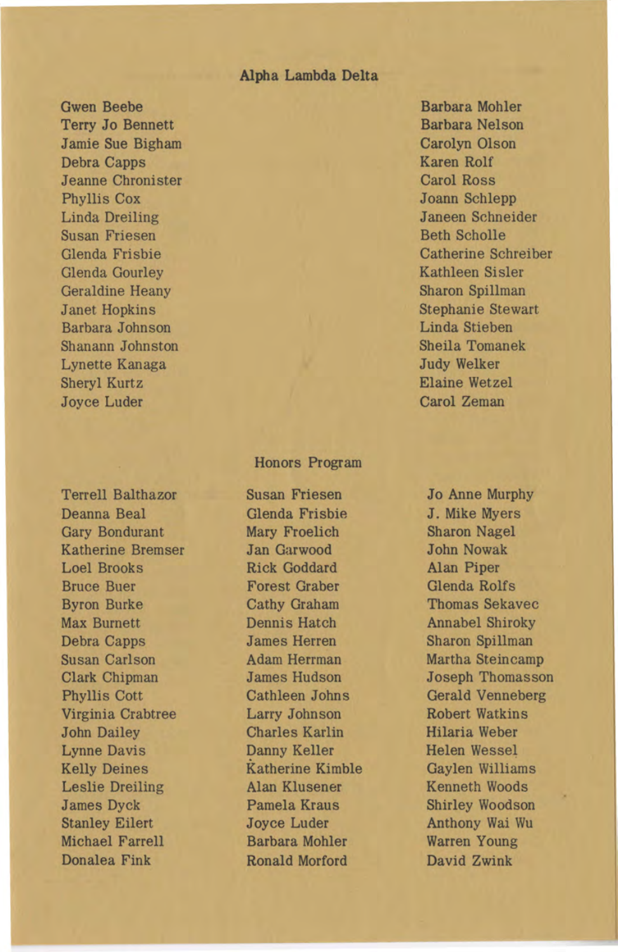#### **Alpha Lambda Delta**

Gwen Beebe Barbara Mohler Terry Jo Bennett Barbara Nelson Jamie Sue Bigham Carolyn Olson Debra Capps Karen Rolf **Jeanne Chronister Carol Ross** Phyllis Cox Joann Schlepp Linda Dreiling Janeen Schneider Susan Friesen Beth Scholle Glenda Gourley Kathleen Sisler Geraldine Heany Sharon Spillman **Janet Hopkins Stephanie Stewart** Barbara Johnson Linda Stieben Shanann Johnston Sheila Tomanek Lynette Kanaga Judy Welker Sheryl Kurtz Elaine Wetzel Joyce Luder Carol Zeman

Deanna Beal Glenda Frisbie J. Mike Myers Gary Bondurant Mary Froelich Sharon Nagel Katherine Bremser Jan Garwood John Nowak Loel Brooks Rick Goddard Alan Piper Bruce Buer Forest Graber Glenda Rolfs Byron Burke Cathy Graham Thomas Sekavec Max Burnett Dennis Hatch Annabel Shiroky Debra Capps James Herren Sharon Spillman Susan Carlson Adam Herrman Martha Steincamp Phyllis Cott Cathleen Johns Gerald Venneberg Virginia Crabtree Larry John son Robert Watkins John Dailey Charles Karlin Hilaria Weber Lynne Davis Danny Keller Helen Wessel Kelly Deines Katherine Kimble Gaylen Williams Leslie Dreiling Alan Klusener Kenneth Woods James Dyck Pamela Kraus Shirley Woodson Stanley Eilert Joyce Luder Anthony Wai Wu Michael Farrell Barbara Mohler Warren Young Donalea Fink Ronald Morford David Zwink

#### Honors Program

Terrell Balthazor Susan Friesen Jo Anne Murphy

Glenda Frisbie Catherine Schreiber

Clark Chipman James Hudson Joseph Thomasson